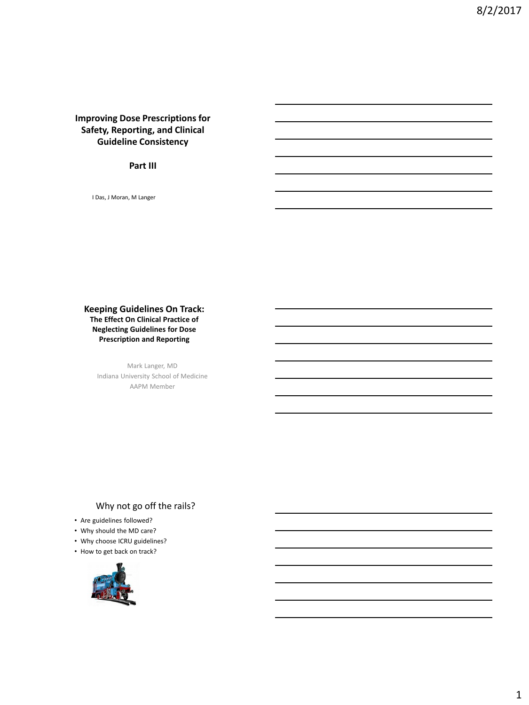# **Improving Dose Prescriptions for Safety, Reporting, and Clinical Guideline Consistency**

#### **Part III**

I Das, J Moran, M Langer

#### **Keeping Guidelines On Track: The Effect On Clinical Practice of Neglecting Guidelines for Dose Prescription and Reporting**

Mark Langer, MD Indiana University School of Medicine AAPM Member

# Why not go off the rails?

- Are guidelines followed?
- Why should the MD care?
- Why choose ICRU guidelines?
- How to get back on track?

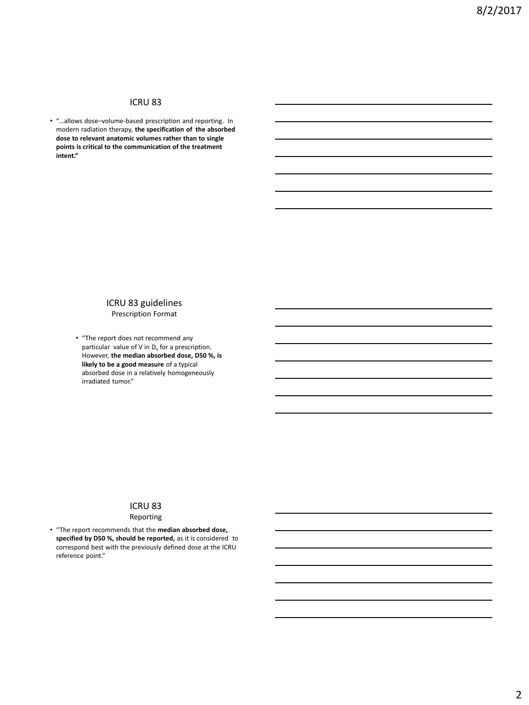# ICRU 83

• "…allows dose–volume-based prescription and reporting. In modern radiation therapy, **the specification of the absorbed dose to relevant anatomic volumes rather than to single points is critical to the communication of the treatment intent."**

#### ICRU 83 guidelines Prescription Format

• "The report does not recommend any particular value of V in  $D_v$  for a prescription. However, **the median absorbed dose, D50 %, is likely to be a good measure** of a typical absorbed dose in a relatively homogeneously irradiated tumor."

#### ICRU 83

#### Reporting

• "The report recommends that the **median absorbed dose, specified by D50 %, should be reported,** as it is considered to correspond best with the previously defined dose at the ICRU reference point."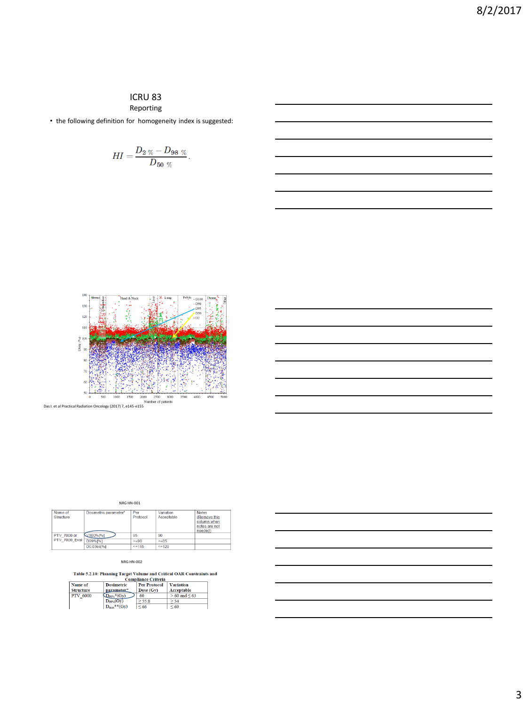## ICRU 83 Reporting

• the following definition for homogeneity index is suggested:

$$
HI=\frac{D_{2\,\,\%}-D_{98\,\,\%}}{D_{50\,\,\%}}.
$$



NRG HN-001

| Name of<br>Structure | Dosimetric parameter* | Per<br>Protocol | Variation<br>Acceptable | <b>Notes</b><br>(Remove this<br>column when<br>notes are not<br>needed) |
|----------------------|-----------------------|-----------------|-------------------------|-------------------------------------------------------------------------|
| PTV 7000 or          | V100%[%]              | 95              | 90                      |                                                                         |
| PTV_7000_Eval        | D99%[%]               | $>=90$          | $>= 85$                 |                                                                         |
|                      | D0.03cc[%]            | $\leq$ = 115    | $\leq$ = 120            |                                                                         |

NRG HN-002

Table 5.2.10: Planning Target Volume and Critical OAR Constraints and

|                                        | Comphance Criteria                       |                     |
|----------------------------------------|------------------------------------------|---------------------|
| <b>Dosimetric</b>                      | <b>Per Protocol</b>                      | <b>Variation</b>    |
|                                        |                                          | Acceptable          |
| $\mathbb{D}_{\text{95\%}}*(\text{Gv})$ | 60                                       | $> 60$ and $\le 63$ |
| $D_{99\%}(G_V)$                        | > 55.8                                   | > 54                |
|                                        | < 66                                     | < 69                |
|                                        | parameter*<br>$D_{\text{max}}$ ** $(GV)$ | Dose (Gv)           |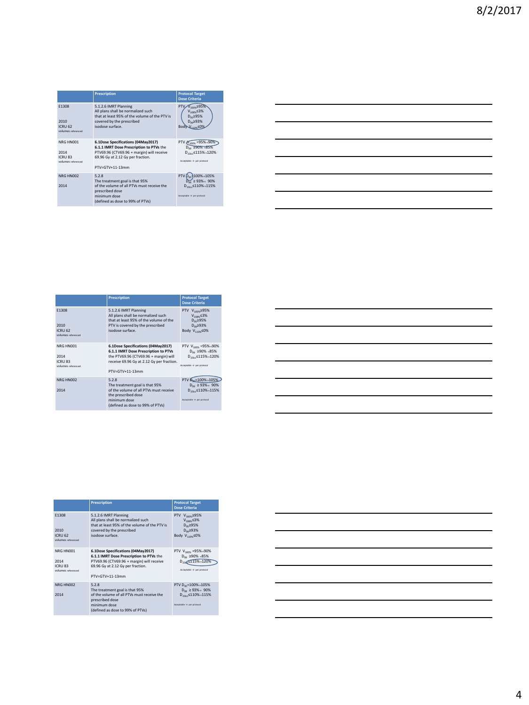|                                                               | <b>Prescription</b>                                                                                                                                                                 | <b>Protocol Target</b><br><b>Dose Criteria</b>                                                                          |
|---------------------------------------------------------------|-------------------------------------------------------------------------------------------------------------------------------------------------------------------------------------|-------------------------------------------------------------------------------------------------------------------------|
| F1308<br>2010<br>ICRIJ <sub>62</sub><br>volumes referenced    | 5.1.2.6 IMRT Planning<br>All plans shall be normalized such<br>that at least 95% of the volume of the PTV is<br>covered by the prescribed<br>isodose surface.                       | PTV <sub>2</sub><br>$m_{\rm x}$ 295%<br>$V_{108\%}$ 53%<br>D <sub>95</sub> 295%<br>Doo293%<br>Body <sub>110%</sub> < 0  |
| NRG HN001<br>2014<br>ICRU <sub>83</sub><br>volumes referenced | 6.1Dose Specifications (04May2017)<br>6.1.1 IMRT Dose Prescription to PTVs the<br>PTV69.96 (CTV69.96 + margin) will receive<br>69.96 Gy at 2.12 Gy per fraction.<br>PTV=GTV+11-13mm | PTV V <sub>100%</sub> = 95% - 90%<br>$D_{\infty}$ 290% +85%<br>D <sub>mc</sub> s115%+120%<br>Acceptable -> per protocol |
| NRG HN002<br>2014                                             | 5.2.8<br>The treatment goal is that 95%<br>of the volume of all PTVs must receive the<br>prescribed dose<br>minimum dose<br>(defined as dose to 99% of PTVs)                        | PTV D. 100% - 105%<br>$D_{99} \ge 93\% \rightarrow 90\%$<br>D <sub>n3cc</sub> <110% >115%<br>Acceptable -> per protocol |

|                                                           | <b>Prescription</b>                                                                                                                                                                 | <b>Protocol Target</b><br><b>Dose Criteria</b>                                                                                               |
|-----------------------------------------------------------|-------------------------------------------------------------------------------------------------------------------------------------------------------------------------------------|----------------------------------------------------------------------------------------------------------------------------------------------|
| F1308<br>2010<br><b>ICRU 62</b><br>volumes referenced     | 5.1.2.6 IMRT Planning<br>All plans shall be normalized such<br>that at least 95% of the volume of the<br>PTV is covered by the prescribed<br>isodose surface.                       | PTV V <sub>100%</sub> 295%<br>$V_{108\%}$ 53%<br>Doc295%<br>$D_{\infty}$ 293%<br>Body V <sub>110%</sub> S0%                                  |
| NRG HN001<br>2014<br><b>ICRU 83</b><br>volumes referenced | 6.1Dose Specifications (04May2017)<br>6.1.1 IMRT Dose Prescription to PTVs<br>the PTV69.96 (CTV69.96 + margin) will<br>receive 69.96 Gy at 2.12 Gy per fraction.<br>PTV=GTV+11-13mm | PTV V <sub>100%</sub> =95%→90%<br>Dog 290% +85%<br>D <sub>n3cc</sub> ≤115%→120%<br>Acceptable -> per protocol                                |
| NRG HN002<br>2014                                         | 5.2.8<br>The treatment goal is that 95%<br>of the volume of all PTVs must receive<br>the prescribed dose<br>minimum dose<br>(defined as dose to 99% of PTVs)                        | PTV D <sub>ec</sub> =100% + 105%<br>$D_{\text{on}} \geq 93\% \rightarrow 90\%$<br>D <sub>02cc</sub> ≤110%→115%<br>Acceptable -> per protocol |

|                                                               | <b>Prescription</b>                                                                                                                                                                 | <b>Protocol Target</b><br><b>Dose Criteria</b>                                                                                              |
|---------------------------------------------------------------|-------------------------------------------------------------------------------------------------------------------------------------------------------------------------------------|---------------------------------------------------------------------------------------------------------------------------------------------|
| F1308<br>2010<br><b>ICRU 62</b><br>volumes referenced         | 5.1.2.6 IMRT Planning<br>All plans shall be normalized such<br>that at least 95% of the volume of the PTV is<br>covered by the prescribed<br>isodose surface.                       | PTV V <sub>100%</sub> 295%<br>$V_{108\%}$ \$3%<br>$D_{\alpha z}$ 295%<br>$D_{\alpha\alpha}$ 293%<br>Body V <sub>110%</sub> ≤0%              |
| NRG HN001<br>2014<br>ICRU <sub>83</sub><br>volumes referenced | 6.1Dose Specifications (04May2017)<br>6.1.1 IMRT Dose Prescription to PTVs the<br>PTV69.96 (CTV69.96 + margin) will receive<br>69.96 Gy at 2.12 Gy per fraction.<br>PTV=GTV+11-13mm | PTV V <sub>100%</sub> = 95% + 90%<br>Don 290% +85%<br>D <sub>036</sub> SI15%+120%<br>Acceptable -> per protocol                             |
| NRG HN002<br>2014                                             | 5.2.8<br>The treatment goal is that 95%<br>of the volume of all PTVs must receive the<br>prescribed dose<br>minimum dose<br>(defined as dose to 99% of PTVs)                        | PTV D <sub>95</sub> =100%+105%<br>$D_{\text{on}} \ge 93\% \rightarrow 90\%$<br>$D_{02}$ , $\leq 110\%$ + 115%<br>Acceptable -> per protocol |

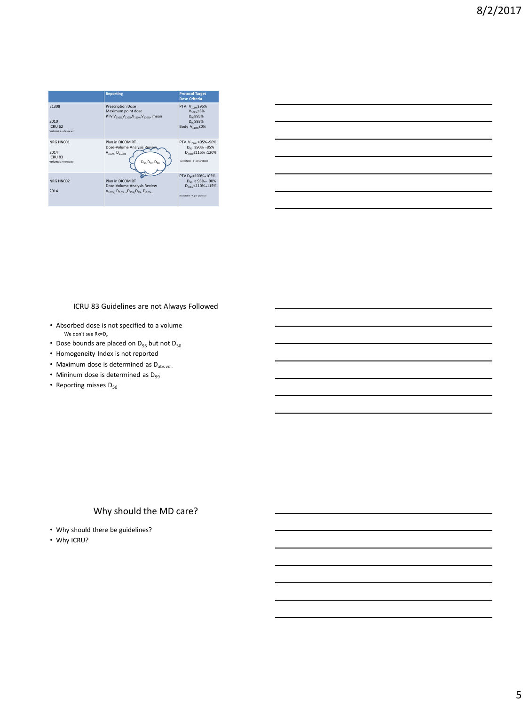

|                                                                                                                        |  | <u> 1989 - Jan Salaman Salaman (j. 1989)</u>                                                                          |
|------------------------------------------------------------------------------------------------------------------------|--|-----------------------------------------------------------------------------------------------------------------------|
|                                                                                                                        |  |                                                                                                                       |
|                                                                                                                        |  |                                                                                                                       |
|                                                                                                                        |  | <u> 1989 - Johann Stoff, deutscher Stoffen und der Stoffen und der Stoffen und der Stoffen und der Stoffen und de</u> |
| <u> 1989 - Johann John Stone, mars eta biztanleria (</u>                                                               |  |                                                                                                                       |
|                                                                                                                        |  |                                                                                                                       |
| <u> 1989 - Johann Stoff, deutscher Stoffen und der Stoffen und der Stoffen und der Stoffen und der Stoffen und der</u> |  |                                                                                                                       |

#### ICRU 83 Guidelines are not Always Followed

- Absorbed dose is not specified to a volume We don't see  $Rx=D_v$
- Dose bounds are placed on  $D_{95}$  but not  $D_{50}$
- Homogeneity Index is not reported
- Maximum dose is determined as  $D_{\text{abs vol.}}$
- Mininum dose is determined as  $D_{99}$
- Reporting misses  $D_{50}$

# Why should the MD care?

- Why should there be guidelines?
- Why ICRU?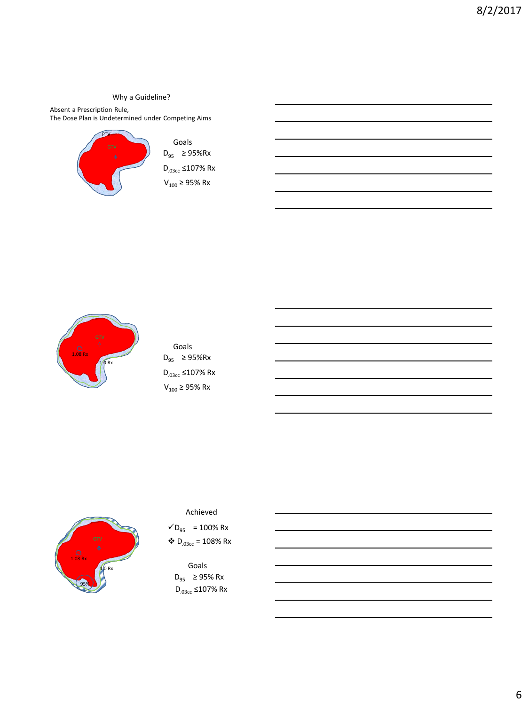Why a Guideline?

Absent a Prescription Rule, The Dose Plan is Undetermined under Competing Aims



Goals D<sub>95</sub> ≥ 95%Rx D.03cc ≤107% Rx  $V_{100}$  ≥ 95% Rx



| Goals |                             |  |  |  |
|-------|-----------------------------|--|--|--|
|       | $D_{95}$ ≥ 95%Rx            |  |  |  |
|       | D <sub>.03cc</sub> ≤107% Rx |  |  |  |
|       | $V_{100} \ge 95\%$ Rx       |  |  |  |



Achieved

 $VD_{95}$  = 100% Rx  $\bullet$  D<sub>.03cc</sub> = 108% Rx

 $D_{95}$  ≥ 95% Rx D<sub>.03cc</sub> ≤107% Rx Goals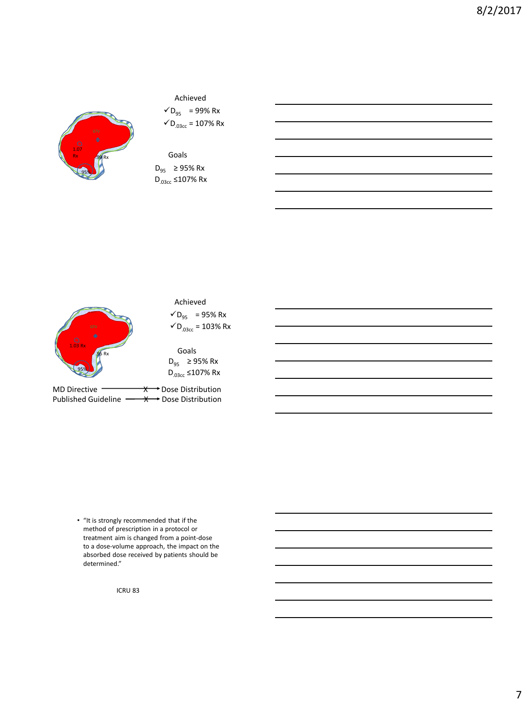

Achieved

 $VD_{95}$  = 99% Rx  $\checkmark$ D<sub>.03cc</sub> = 107% Rx

 $D_{95}$  ≥ 95% Rx D.03cc ≤107% Rx Goals



• "It is strongly recommended that if the method of prescription in a protocol or treatment aim is changed from a point-dose to a dose-volume approach, the impact on the absorbed dose received by patients should be determined."

ICRU 83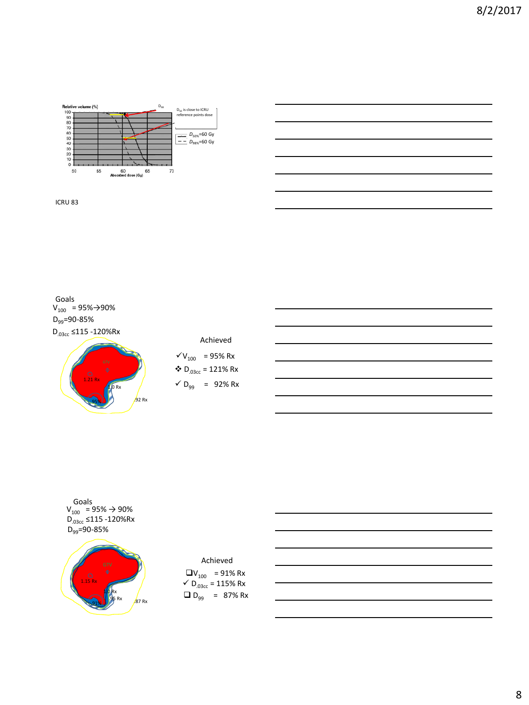

ICRU 83

 $V_{100}$  = 95% $\rightarrow$ 90% D.03cc ≤115 -120%Rx Goals D<sub>99</sub>=90-85%



# Achieved

 $V_{100}$  = 95% Rx  $\bullet$  D<sub>.03cc</sub> = 121% Rx  $\checkmark$  D<sub>99</sub> = 92% Rx

 $V_{100}$  = 95%  $\rightarrow$  90% D<sub>.03cc</sub> ≤115 -120%Rx Goals D<sub>99</sub>=90-85%



# $\Box V_{100}$  = 91% Rx  $\checkmark$  D<sub>.03cc</sub> = 115% Rx Achieved  $D_{99}$  = 87% Rx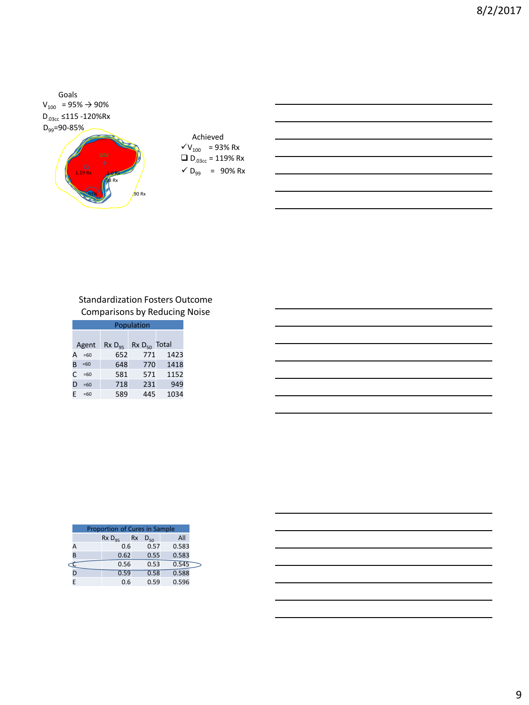



 $V_{100}$  = 93% Rx  $\Box$  D<sub>.03cc</sub> = 119% Rx Achieved  $\sqrt{D_{99}}$  = 90% Rx

# Standardization Fosters Outcome Comparisons by Reducing Noise

|   | Population |            |                   |      |  |
|---|------------|------------|-------------------|------|--|
|   | Agent      | $RxD_{qs}$ | $Rx D_{50}$ Total |      |  |
| А | $=60$      | 652        | 771               | 1423 |  |
| R | $=60$      | 648        | 770               | 1418 |  |
| C | $=60$      | 581        | 571               | 1152 |  |
| D | $=60$      | 718        | 231               | 949  |  |
| F | $=60$      | 589        | 445               | 1034 |  |

|   | Proportion of Cures in Sample |           |          |       |  |
|---|-------------------------------|-----------|----------|-------|--|
|   | $RxD_{qs}$                    | <b>Rx</b> | $D_{50}$ | All   |  |
| А |                               | 0.6       | 0.57     | 0.583 |  |
| R | 0.62                          |           | 0.55     | 0.583 |  |
|   | 0.56                          |           | 0.53     | 0.545 |  |
|   | 0.59                          |           | 0.58     | 0.588 |  |
|   |                               | 0.6       | 0.59     | 0.596 |  |

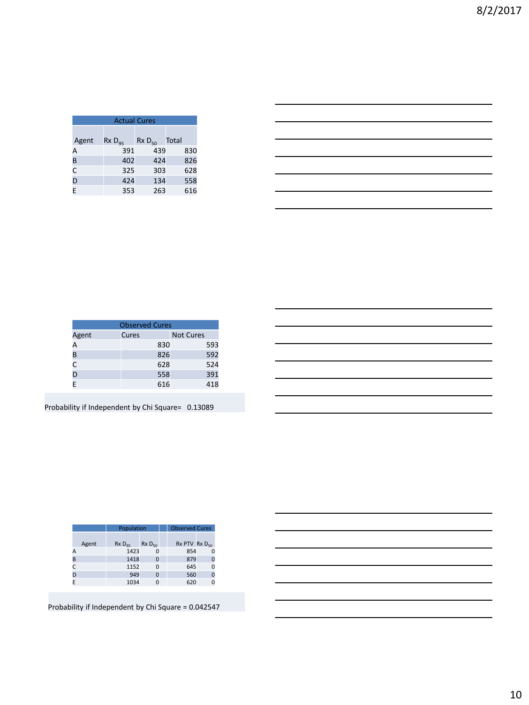| <b>Actual Cures</b> |            |            |       |  |  |
|---------------------|------------|------------|-------|--|--|
| Agent               | $RxD_{q5}$ | $RxD_{50}$ | Total |  |  |
| А                   | 391        | 439        | 830   |  |  |
| B                   | 402        | 424        | 826   |  |  |
| C                   | 325        | 303        | 628   |  |  |
| D                   | 424        | 134        | 558   |  |  |
| F                   | 353        | 263        | 616   |  |  |

| <u> 1989 - Johann Stein, markin sanat masjid ayyı bir alan sanat sanat sanat sanat sanat sanat sanat sanat sanat</u>   |  |     |
|------------------------------------------------------------------------------------------------------------------------|--|-----|
|                                                                                                                        |  |     |
| <u> 1989 - Johann Barn, amerikan berkemaan di sebagai berkemaan di sebagai berkemaan di sebagai berkemaan di seba</u>  |  |     |
| <u> 1989 - Johann Barn, amerikansk politiker (d. 1989)</u>                                                             |  | ___ |
| <u> 1989 - Johann Barn, mars ann an t-Amhain ann an t-Amhain ann an t-Amhain ann an t-Amhain an t-Amhain ann an t-</u> |  |     |
|                                                                                                                        |  |     |

| <b>Observed Cures</b> |       |                  |     |  |  |
|-----------------------|-------|------------------|-----|--|--|
| Agent                 | Cures | <b>Not Cures</b> |     |  |  |
| A                     |       | 830              | 593 |  |  |
| B                     |       | 826              | 592 |  |  |
| C                     |       | 628              | 524 |  |  |
| D                     |       | 558              | 391 |  |  |
| E                     |       | 616              | 418 |  |  |

|                                                                                                              |  | <u> 1989 - Johann Stoff, deutscher Stoffen und der Stoffen und der Stoffen und der Stoffen und der Stoffen und der</u> |
|--------------------------------------------------------------------------------------------------------------|--|------------------------------------------------------------------------------------------------------------------------|
|                                                                                                              |  |                                                                                                                        |
| and the control of the control of the control of the control of the control of the control of the control of |  |                                                                                                                        |
|                                                                                                              |  | <u> 1989 - Johann Harry Harry Harry Harry Harry Harry Harry Harry Harry Harry Harry Harry Harry Harry Harry Harry</u>  |
|                                                                                                              |  |                                                                                                                        |
|                                                                                                              |  |                                                                                                                        |

| Probability if Independent by Chi Square= 0.13089 |  |
|---------------------------------------------------|--|
|---------------------------------------------------|--|

|   |       | Population |            |  | <b>Observed Cures</b>  |  |
|---|-------|------------|------------|--|------------------------|--|
|   | Agent | $RxD_{qs}$ | $RxD_{50}$ |  | $Rx$ PTV $Rx$ $D_{50}$ |  |
| А |       | 1423       | 0          |  | 854                    |  |
| B |       | 1418       | $\Omega$   |  | 879                    |  |
|   |       | 1152       | ŋ          |  | 645                    |  |
| n |       | 949        | $\Omega$   |  | 560                    |  |
|   |       | 1034       |            |  | 620                    |  |

Probability if Independent by Chi Square = 0.042547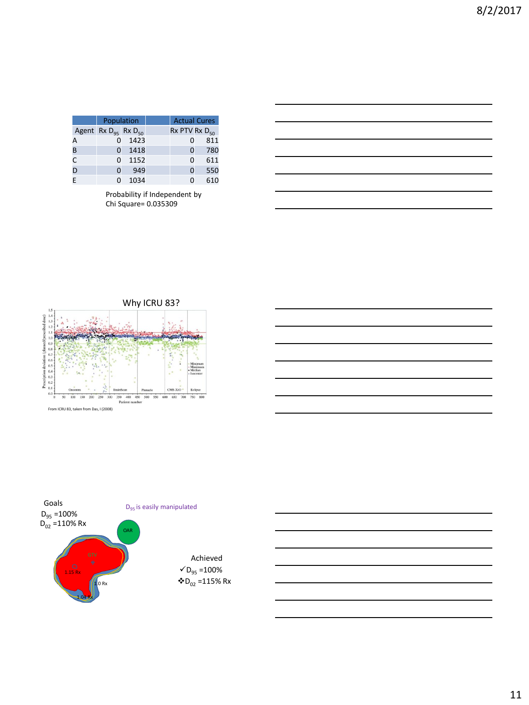|   | Population                    |      | <b>Actual Cures</b>    |     |
|---|-------------------------------|------|------------------------|-----|
|   | Agent Rx $D_{95}$ Rx $D_{50}$ |      | $Rx$ PTV $Rx$ $D_{50}$ |     |
| А |                               | 1423 | n                      | 811 |
| B | O                             | 1418 | 0                      | 780 |
| C | O                             | 1152 | O                      | 611 |
| D | O                             | 949  | 0                      | 550 |
|   | O                             | 1034 | O                      | 610 |

Probability if Independent by Chi Square= 0.035309







11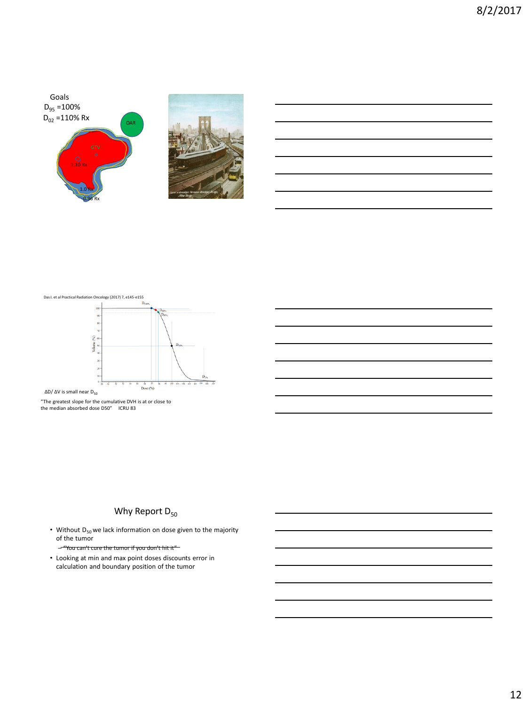



Das I. et al Practical Radiation Oncology (2017) 7, e145-e155



 $ΔD/ΔV$  is small near  $D_{50}$ 

"The greatest slope for the cumulative DVH is at or close to the median absorbed dose D50" ICRU 83

# Why Report  $D_{50}$

• Without  $D_{50}$  we lack information on dose given to the majority of the tumor - "You can't cure the tumor if you don't hit it"

• Looking at min and max point doses discounts error in calculation and boundary position of the tumor